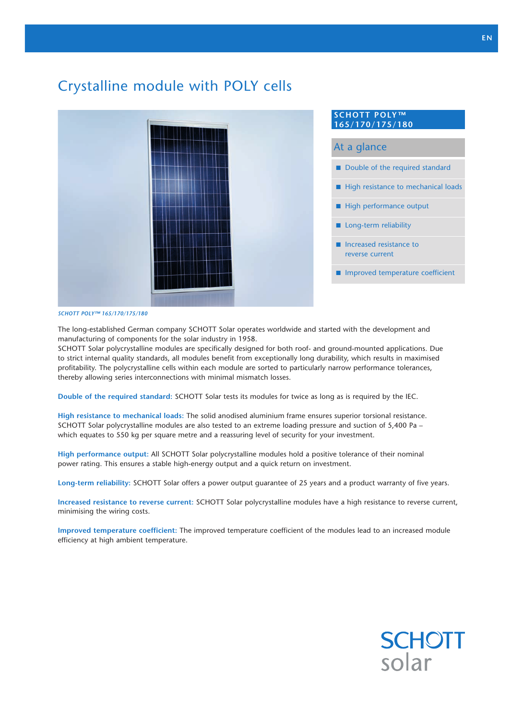# Crystalline module with POLY cells



Double of the required standard  $\blacksquare$  High resistance to mechanical loads At a glance **SCHOTT POLY™ 165/170/175/180**

- $\blacksquare$  High performance output
- $\blacksquare$  Long-term reliability
- $\blacksquare$  Increased resistance to reverse current
- $\blacksquare$  Improved temperature coefficient

#### *SCHOTT POLY™ 165/170/175/180*

The long-established German company SCHOTT Solar operates worldwide and started with the development and manufacturing of components for the solar industry in 1958.

SCHOTT Solar polycrystalline modules are specifically designed for both roof- and ground-mounted applications. Due to strict internal quality standards, all modules benefit from exceptionally long durability, which results in maximised profitability. The polycrystalline cells within each module are sorted to particularly narrow performance tolerances, thereby allowing series interconnections with minimal mismatch losses.

**Double of the required standard:** SCHOTT Solar tests its modules for twice as long as is required by the IEC.

**High resistance to mechanical loads:** The solid anodised aluminium frame ensures superior torsional resistance. SCHOTT Solar polycrystalline modules are also tested to an extreme loading pressure and suction of 5,400 Pa – which equates to 550 kg per square metre and a reassuring level of security for your investment.

**High performance output:** All SCHOTT Solar polycrystalline modules hold a positive tolerance of their nominal power rating. This ensures a stable high-energy output and a quick return on investment.

**Long-term reliability:** SCHOTT Solar offers a power output guarantee of 25 years and a product warranty of five years.

**Increased resistance to reverse current:** SCHOTT Solar polycrystalline modules have a high resistance to reverse current, minimising the wiring costs.

**Improved temperature coefficient:** The improved temperature coefficient of the modules lead to an increased module efficiency at high ambient temperature.